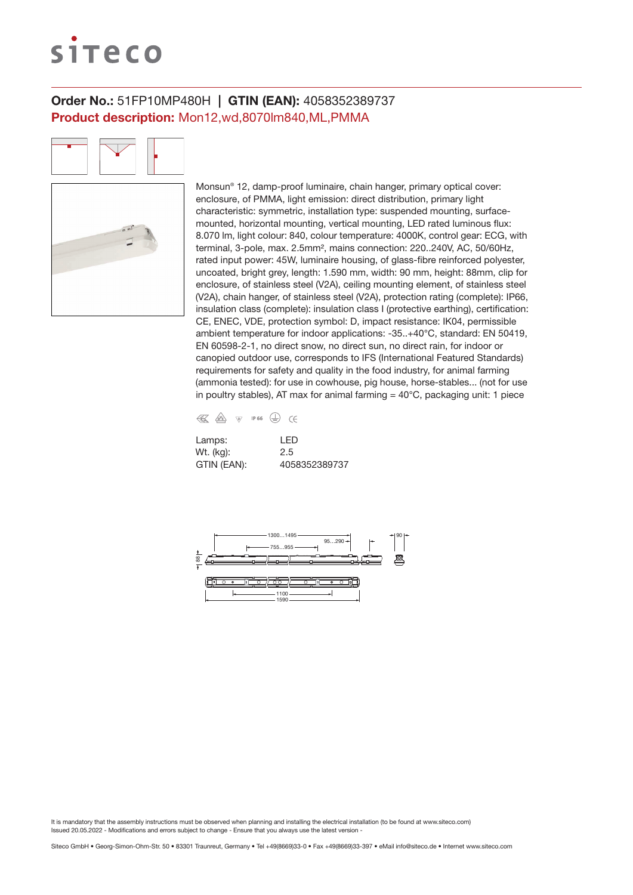# siteco

## Order No.: 51FP10MP480H | GTIN (EAN): 4058352389737 Product description: Mon12,wd,8070lm840,ML,PMMA

Monsun® 12, damp-proof luminaire, chain hanger, primary optical cover: enclosure, of PMMA, light emission: direct distribution, primary light characteristic: symmetric, installation type: suspended mounting, surfacemounted, horizontal mounting, vertical mounting, LED rated luminous flux: 8.070 lm, light colour: 840, colour temperature: 4000K, control gear: ECG, with terminal, 3-pole, max. 2.5mm², mains connection: 220..240V, AC, 50/60Hz, rated input power: 45W, luminaire housing, of glass-fibre reinforced polyester, uncoated, bright grey, length: 1.590 mm, width: 90 mm, height: 88mm, clip for enclosure, of stainless steel (V2A), ceiling mounting element, of stainless steel (V2A), chain hanger, of stainless steel (V2A), protection rating (complete): IP66, insulation class (complete): insulation class I (protective earthing), certification: CE, ENEC, VDE, protection symbol: D, impact resistance: IK04, permissible ambient temperature for indoor applications: -35..+40°C, standard: EN 50419, EN 60598-2-1, no direct snow, no direct sun, no direct rain, for indoor or canopied outdoor use, corresponds to IFS (International Featured Standards) requirements for safety and quality in the food industry, for animal farming (ammonia tested): for use in cowhouse, pig house, horse-stables... (not for use in poultry stables), AT max for animal farming  $=$  40 $^{\circ}$ C, packaging unit: 1 piece



| Lamps:      | I FD          |
|-------------|---------------|
| Wt. (kg):   | 2.5           |
| GTIN (EAN): | 4058352389737 |

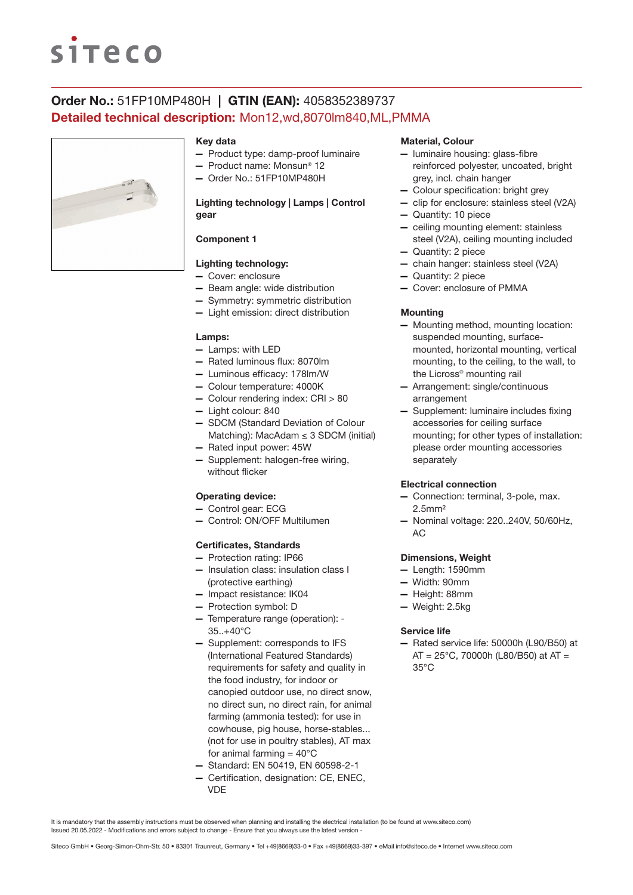# **siteco**

# Order No.: 51FP10MP480H | GTIN (EAN): 4058352389737 Detailed technical description: Mon12,wd,8070lm840,ML,PMMA



#### Key data

- Product type: damp-proof luminaire
- Product name: Monsun® 12
- Order No.: 51FP10MP480H

## Lighting technology | Lamps | Control gear

## Component 1

## Lighting technology:

- Cover: enclosure
- Beam angle: wide distribution
- Symmetry: symmetric distribution
- Light emission: direct distribution

#### Lamps:

- Lamps: with LED
- Rated luminous flux: 8070lm
- Luminous efficacy: 178lm/W
- Colour temperature: 4000K
- Colour rendering index: CRI > 80
- Light colour: 840
- SDCM (Standard Deviation of Colour Matching): MacAdam  $\leq$  3 SDCM (initial)
- Rated input power: 45W
- Supplement: halogen-free wiring, without flicker

### Operating device:

- Control gear: ECG
- Control: ON/OFF Multilumen

#### Certificates, Standards

- Protection rating: IP66
- Insulation class: insulation class I (protective earthing)
- Impact resistance: IK04
- Protection symbol: D
- Temperature range (operation): 35..+40°C
- Supplement: corresponds to IFS (International Featured Standards) requirements for safety and quality in the food industry, for indoor or canopied outdoor use, no direct snow, no direct sun, no direct rain, for animal farming (ammonia tested): for use in cowhouse, pig house, horse-stables... (not for use in poultry stables), AT max for animal farming  $= 40^{\circ}$ C
- Standard: EN 50419, EN 60598-2-1
- Certification, designation: CE, ENEC, VDE

#### Material, Colour

- luminaire housing: glass-fibre reinforced polyester, uncoated, bright grey, incl. chain hanger
- Colour specification: bright grey
- clip for enclosure: stainless steel (V2A)
- Quantity: 10 piece
- ceiling mounting element: stainless steel (V2A), ceiling mounting included
- Quantity: 2 piece
- chain hanger: stainless steel (V2A)
- Quantity: 2 piece
- Cover: enclosure of PMMA

#### **Mounting**

- Mounting method, mounting location: suspended mounting, surfacemounted, horizontal mounting, vertical mounting, to the ceiling, to the wall, to the Licross® mounting rail
- Arrangement: single/continuous arrangement
- Supplement: luminaire includes fixing accessories for ceiling surface mounting; for other types of installation: please order mounting accessories separately

#### Electrical connection

- Connection: terminal, 3-pole, max. 2.5mm²
- Nominal voltage: 220..240V, 50/60Hz, AC

#### Dimensions, Weight

- Length: 1590mm
- Width: 90mm
- Height: 88mm
- Weight: 2.5kg

#### Service life

— Rated service life: 50000h (L90/B50) at  $AT = 25^{\circ}$ C, 70000h (L80/B50) at AT = 35°C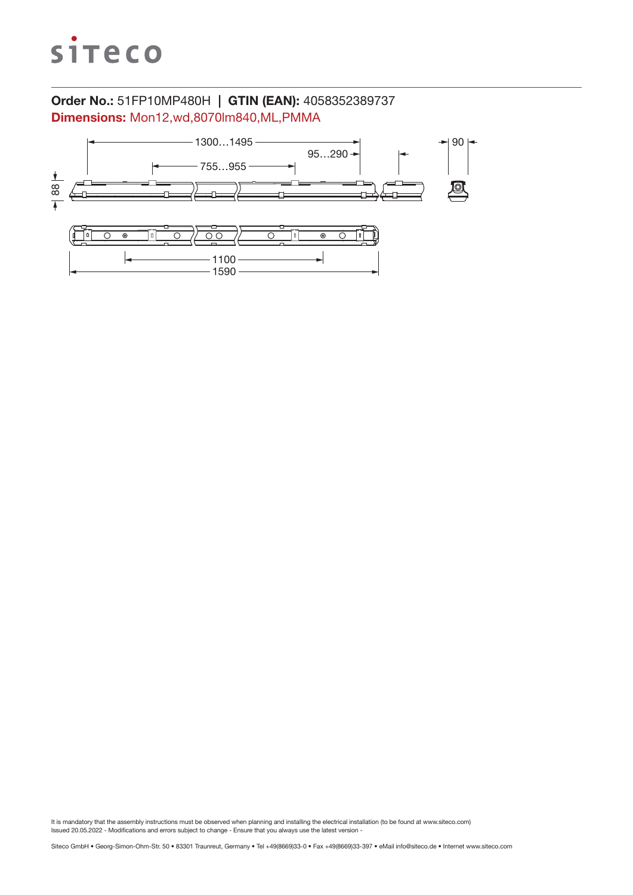

# Order No.: 51FP10MP480H | GTIN (EAN): 4058352389737 Dimensions: Mon12,wd,8070lm840,ML,PMMA